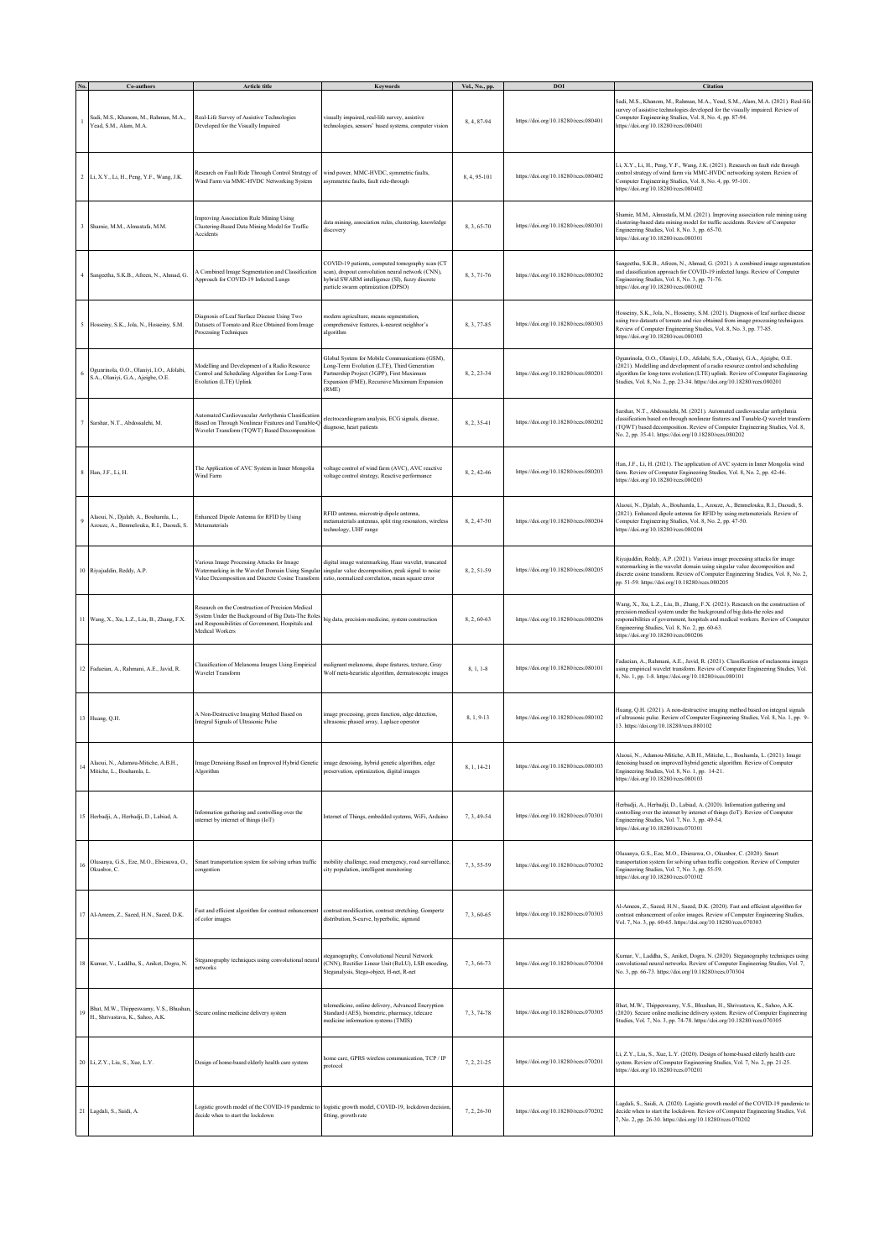|    | Co-authors                                                                        | <b>Article title</b>                                                                                                                                                           | <b>Keywords</b>                                                                                                                                                                                    | Vol., No., pp. | DOI                                  | Citation                                                                                                                                                                                                                                                                                                                                  |
|----|-----------------------------------------------------------------------------------|--------------------------------------------------------------------------------------------------------------------------------------------------------------------------------|----------------------------------------------------------------------------------------------------------------------------------------------------------------------------------------------------|----------------|--------------------------------------|-------------------------------------------------------------------------------------------------------------------------------------------------------------------------------------------------------------------------------------------------------------------------------------------------------------------------------------------|
|    | Sadi, M.S., Khanom, M., Rahman, M.A.,<br>Yead, S.M., Alam, M.A.                   | Real-Life Survey of Assistive Technologies<br>Developed for the Visually Impaired                                                                                              | isually impaired, real-life survey, assistive<br>technologies, sensors' based systems, computer vision                                                                                             | 8, 4, 87-94    | https://doi.org/10.18280/rces.080401 | Sadi, M.S., Khanom, M., Rahman, M.A., Yead, S.M., Alam, M.A. (2021). Real-life<br>survey of assistive technologies developed for the visually impaired. Review of<br>Computer Engineering Studies, Vol. 8, No. 4, pp. 87-94.<br>https://doi.org/10.18280/rces.080401                                                                      |
|    | 2 Li, X.Y., Li, H., Peng, Y.F., Wang, J.K.                                        | Research on Fault Ride Through Control Strategy of<br>Wind Farm via MMC-HVDC Networking System                                                                                 | wind power, MMC-HVDC, symmetric faults,<br>asymmetric faults, fault ride-through                                                                                                                   | 8, 4, 95-101   | https://doi.org/10.18280/rces.080402 | Li, X.Y., Li, H., Peng, Y.F., Wang, J.K. (2021). Research on fault ride through<br>control strategy of wind farm via MMC-HVDC networking system. Review of<br>Computer Engineering Studies, Vol. 8, No. 4, pp. 95-101.<br>https://doi.org/10.18280/rces.080402                                                                            |
|    | Shamie, M.M., Almustafa, M.M.                                                     | Improving Association Rule Mining Using<br>Clustering-Based Data Mining Model for Traffic<br>Accidents                                                                         | lata mining, association rules, clustering, knowledge<br>liscovery                                                                                                                                 | 8.3.65-70      | https://doi.org/10.18280/rces.080301 | Shamie, M.M., Almustafa, M.M. (2021). Improving association rule mining using<br>clustering-based data mining model for traffic accidents. Review of Computer<br>Engineering Studies, Vol. 8, No. 3, pp. 65-70.<br>https://doi.org/10.18280/rces.080301                                                                                   |
|    | Sangeetha, S.K.B., Afreen, N., Ahmad, G.                                          | A Combined Image Segmentation and Classification<br>Approach for COVID-19 Infected Lungs                                                                                       | COVID-19 patients, computed tomography scan (CT<br>can), dropout convolution neural network (CNN),<br>hybrid SWARM intelligence (SI), fuzzy discrete<br>particle swarm optimization (DPSO)         | 8.3.71-76      | https://doi.org/10.18280/rces.080302 | Sangeetha, S.K.B., Afreen, N., Ahmad, G. (2021). A combined image segmentation<br>and classification approach for COVID-19 infected lungs. Review of Computer<br>Engineering Studies, Vol. 8, No. 3, pp. 71-76.<br>https://doi.org/10.18280/rces.080302                                                                                   |
| 5  | Hosseiny, S.K., Jola, N., Hosseiny, S.M.                                          | Diagnosis of Leaf Surface Disease Using Two<br>Datasets of Tomato and Rice Obtained from Image<br>Processing Techniques                                                        | nodern agriculture, means segmentation,<br>omprehensive features, k-nearest neighbor's<br>algorithm                                                                                                | 8.3.77-85      | https://doi.org/10.18280/rces.080303 | Hosseiny, S.K., Jola, N., Hosseiny, S.M. (2021). Diagnosis of leaf surface disease<br>using two datasets of tomato and rice obtained from image processing techniques.<br>Review of Computer Engineering Studies, Vol. 8, No. 3, pp. 77-85.<br>https://doi.org/10.18280/rces.080303                                                       |
|    | Ogunrinola, O.O., Olaniyi, I.O., Afolabi,<br>S.A., Olaniyi, G.A., Ajeigbe, O.E.   | Modelling and Development of a Radio Resource<br>Control and Scheduling Algorithm for Long-Term<br>Evolution (LTE) Uplink                                                      | ilobal System for Mobile Communications (GSM),<br>ong-Term Evolution (LTE), Third Generation<br>Partnership Project (3GPP), First Maximum<br>Expansion (FME), Recursive Maximum Expansion<br>(RME) | 8, 2, 23-34    | https://doi.org/10.18280/rces.080201 | Ogunrinola, O.O., Olaniyi, I.O., Afolabi, S.A., Olaniyi, G.A., Ajeigbe, O.E.<br>(2021). Modelling and development of a radio resource control and scheduling<br>algorithm for long-term evolution (LTE) uplink. Review of Computer Engineering<br>Studies, Vol. 8, No. 2, pp. 23-34. https://doi.org/10.18280/rces.080201                 |
|    | Sarshar, N.T., Abdossalchi, M.                                                    | Automated Cardiovascular Arrhythmia Classification<br>Based on Through Nonlinear Features and Tunable-Q<br>Wavelet Transform (TQWT) Based Decomposition                        | electrocardiogram analysis, ECG signals, disease,<br>liagnose, heart patients                                                                                                                      | 8, 2, 35-41    | https://doi.org/10.18280/rces.080202 | Sarshar, N.T., Abdossalehi, M. (2021). Automated cardiovascular arrhythmia<br>classification based on through nonlinear features and Tunable-Q wavelet transform<br>(TQWT) based decomposition. Review of Computer Engineering Studies, Vol. 8,<br>No. 2, pp. 35-41. https://doi.org/10.18280/rces.080202                                 |
| 8  | Han, J.F., Li, H.                                                                 | The Application of AVC System in Inner Mongolia<br>Wind Farm                                                                                                                   | pltage control of wind farm (AVC). AVC reactive<br>voltage control strategy, Reactive performance                                                                                                  | 8, 2, 42-46    | https://doi.org/10.18280/rces.080203 | Han, J.F., Li, H. (2021). The application of AVC system in Inner Mongolia wind<br>farm. Review of Computer Engineering Studies, Vol. 8, No. 2, pp. 42-46.<br>https://doi.org/10.18280/rces.080203                                                                                                                                         |
|    | Alaoui, N., Dialab, A., Bouhamla, L.,<br>Azouze, A., Benmelouka, R.I., Daoudi, S. | Enhanced Dipole Antenna for RFID by Using<br>Metamaterials                                                                                                                     | RFID antenna, microstrip dipole antenna,<br>netamaterials antennas, split ring resonators, wireless<br>echnology, UHF range                                                                        | 8, 2, 47-50    | https://doi.org/10.18280/rces.080204 | Alaoui, N., Djalab, A., Bouhamla, L., Azouze, A., Benmelouka, R.I., Daoudi, S.<br>(2021). Enhanced dipole antenna for RFID by using metamaterials. Review of<br>Computer Engineering Studies, Vol. 8, No. 2, pp. 47-50.<br>https://doi.org/10.18280/rces.080204                                                                           |
|    | 10 Riyajuddin, Reddy, A.P.                                                        | Various Image Processing Attacks for Image<br>Watermarking in the Wavelet Domain Using Singular<br>Value Decomposition and Discrete Cosine Transform                           | digital image watermarking, Haar wavelet, truncated<br>singular value decomposition, peak signal to noise<br>ratio, normalized correlation, mean square error                                      | 8, 2, 51-59    | https://doi.org/10.18280/rces.080205 | Riyajuddin, Reddy, A.P. (2021). Various image processing attacks for image<br>watermarking in the wavelet domain using singular value decomposition and<br>discrete cosine transform. Review of Computer Engineering Studies, Vol. 8, No. 2,<br>pp. 51-59. https://doi.org/10.18280/rces.080205                                           |
|    | Wang, X., Xu, L.Z., Liu, B., Zhang, F.X.                                          | Research on the Construction of Precision Medical<br>System Under the Background of Big Data-The Roles<br>and Responsibilities of Government, Hospitals and<br>Medical Workers | big data, precision medicine, system construction                                                                                                                                                  | 8, 2, 60-63    | https://doi.org/10.18280/rces.080206 | Wang, X., Xu, L.Z., Liu, B., Zhang, F.X. (2021). Research on the construction of<br>precision medical system under the background of big data-the roles and<br>esponsibilities of government, hospitals and medical workers. Review of Computer<br>Engineering Studies, Vol. 8, No. 2, pp. 60-63.<br>https://doi.org/10.18280/rces.080206 |
|    | 12 Fadacian, A., Rahmani, A.E., Javid, R.                                         | Classification of Melanoma Images Using Empirical<br><b>Wavelet Transform</b>                                                                                                  | malignant melanoma, shape features, texture, Gray<br>Wolf meta-heuristic algorithm, dermatoscopic images                                                                                           | 8, 1, 1-8      | https://doi.org/10.18280/rces.080101 | Fadaeian, A., Rahmani, A.E., Javid, R. (2021). Classification of melanoma images<br>using empirical wavelet transform. Review of Computer Engineering Studies, Vol.<br>8, No. 1, pp. 1-8. https://doi.org/10.18280/rces.080101                                                                                                            |
|    | 13 Huang, Q.H.                                                                    | A Non-Destructive Imaging Method Based on<br>Integral Signals of Ultrasonic Pulse                                                                                              | image processing, green function, edge detection,<br>ultrasonic phased array, Laplace operator                                                                                                     | 8, 1, 9-13     | https://doi.org/10.18280/rces.080102 | Huang, Q.H. (2021). A non-destructive imaging method based on integral signals<br>of ultrasonic pulse. Review of Computer Engineering Studies, Vol. 8, No. 1, pp. 9-<br>13. https://doi.org/10.18280/rces.080102                                                                                                                          |
| 14 | Alaoui, N., Adamou-Mitiche, A.B.H.,<br>Mitiche, L., Bouhamla, L.                  | Image Denoising Based on Improved Hybrid Genetic image denoising, hybrid genetic algorithm, edge<br>Algorithm                                                                  | preservation, optimization, digital images                                                                                                                                                         | 8, 1, 14-21    | https://doi.org/10.18280/rces.080103 | Alaoui, N., Adamou-Mitiche, A.B.H., Mitiche, L., Bouhamla, L. (2021). Image<br>denoising based on improved hybrid genetic algorithm. Review of Computer<br>Engineering Studies, Vol. 8, No. 1, pp. 14-21.<br>https://doi.org/10.18280/rces.080103                                                                                         |
| 15 | Herbadji, A., Herbadji, D., Labiad, A.                                            | Information gathering and controlling over the<br>internet by internet of things (IoT)                                                                                         | Internet of Things, embedded systems, WiFi, Arduino                                                                                                                                                | 7, 3, 49-54    | https://doi.org/10.18280/rces.070301 | Herbadji, A., Herbadji, D., Labiad, A. (2020). Information gathering and<br>controlling over the internet by internet of things (IoT). Review of Computer<br>Engineering Studies, Vol. 7, No. 3, pp. 49-54.<br>https://doi.org/10.18280/rces.070301                                                                                       |
| 16 | Olusanya, G.S., Eze, M.O., Ebiesuwa, O.,<br>Okunbor, C.                           | Smart transportation system for solving urban traffic<br>congestion                                                                                                            | mobility challenge, road emergency, road surveillance<br>city population, intelligent monitoring                                                                                                   | 7, 3, 55-59    | https://doi.org/10.18280/rces.070302 | Olusanya, G.S., Eze, M.O., Ebiesuwa, O., Okunbor, C. (2020). Smart<br>transportation system for solving urban traffic congestion. Review of Computer<br>Engineering Studies, Vol. 7, No. 3, pp. 55-59.<br>https://doi.org/10.18280/rces.070302                                                                                            |
| 17 | Al-Ameen, Z., Saeed, H.N., Saeed, D.K.                                            | Fast and efficient algorithm for contrast enhancement<br>of color images                                                                                                       | contrast modification, contrast stretching, Gompertz<br>distribution, S-curve, hyperbolic, sigmoid                                                                                                 | 7, 3, 60-65    | https://doi.org/10.18280/rces.070303 | Al-Ameen, Z., Saeed, H.N., Saeed, D.K. (2020). Fast and efficient algorithm for<br>contrast enhancement of color images. Review of Computer Engineering Studies,<br>Vol. 7, No. 3, pp. 60-65. https://doi.org/10.18280/rces.070303                                                                                                        |
| 18 | Kumar, V., Laddha, S., Aniket, Dogra, N.                                          | Steganography techniques using convolutional neural<br>networks                                                                                                                | steganography, Convolutional Neural Network<br>CNN), Rectifier Linear Unit (ReLU), LSB encoding,<br>Steganalysis, Stego-object, H-net, R-net                                                       | 7, 3, 66-73    | https://doi.org/10.18280/rces.070304 | Kumar, V., Laddha, S., Aniket, Dogra, N. (2020). Steganography techniques using<br>convolutional neural networks. Review of Computer Engineering Studies, Vol. 7,<br>No. 3, pp. 66-73. https://doi.org/10.18280/rces.070304                                                                                                               |
| 19 | Bhat, M.W., Thippeswamy, V.S., Bhushar<br>H., Shrivastava, K., Sahoo, A.K.        | Secure online medicine delivery system                                                                                                                                         | telemedicine, online delivery, Advanced Encryption<br>Standard (AES), biometric, pharmacy, telecare<br>nedicine information systems (TMIS)                                                         | 7.3.74-78      | https://doi.org/10.18280/rces.070305 | Bhat, M.W., Thippeswamy, V.S., Bhushan, H., Shrivastava, K., Sahoo, A.K.<br>(2020). Secure online medicine delivery system. Review of Computer Engineering<br>Studies, Vol. 7, No. 3, pp. 74-78. https://doi.org/10.18280/rces.070305                                                                                                     |
| 20 | Li, Z.Y., Liu, S., Xue, L.Y.                                                      | Design of home-based elderly health care system                                                                                                                                | nome care, GPRS wireless communication, TCP / IP<br>protocol                                                                                                                                       | 7, 2, 21-25    | https://doi.org/10.18280/rces.070201 | Li, Z.Y., Liu, S., Xue, L.Y. (2020). Design of home-based elderly health care<br>system. Review of Computer Engineering Studies, Vol. 7, No. 2, pp. 21-25.<br>https://doi.org/10.18280/rces.070201                                                                                                                                        |
| 21 | Lagdali, S., Saidi, A.                                                            | decide when to start the lockdown                                                                                                                                              | Logistic growth model of the COVID-19 pandemic to logistic growth model, COVID-19, lockdown decision<br>fitting, growth rate                                                                       | 7, 2, 26-30    | https://doi.org/10.18280/rces.070202 | Lagdali, S., Saidi, A. (2020). Logistic growth model of the COVID-19 pandemic to<br>decide when to start the lockdown. Review of Computer Engineering Studies, Vol.<br>7, No. 2, pp. 26-30. https://doi.org/10.18280/rces.070202                                                                                                          |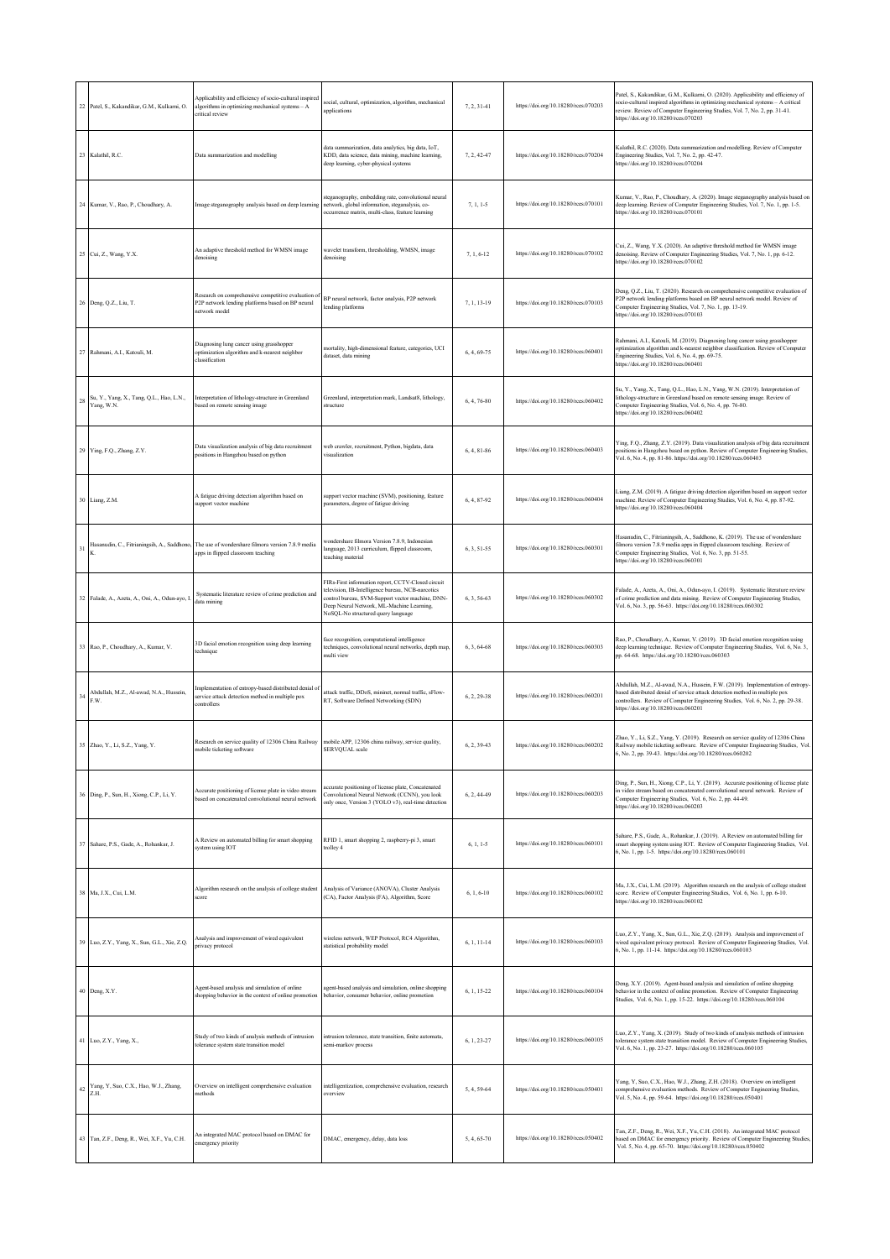| 22     | Patel, S., Kakandikar, G.M., Kulkarni, O.              | Applicability and efficiency of socio-cultural inspired<br>algorithms in optimizing mechanical systems -- A<br>critical review       | ocial, cultural, optimization, algorithm, mechanical<br>applications                                                                                                                                                                         | 7.2.31-41     | https://doi.org/10.18280/rces.070203 | Patel, S., Kakandikar, G.M., Kulkarni, O. (2020). Applicability and efficiency of<br>socio-cultural inspired algorithms in optimizing mechanical systems - A critical<br>review. Review of Computer Engineering Studies, Vol. 7, No. 2, pp. 31-41.<br>https://doi.org/10.18280/rces.070203 |
|--------|--------------------------------------------------------|--------------------------------------------------------------------------------------------------------------------------------------|----------------------------------------------------------------------------------------------------------------------------------------------------------------------------------------------------------------------------------------------|---------------|--------------------------------------|--------------------------------------------------------------------------------------------------------------------------------------------------------------------------------------------------------------------------------------------------------------------------------------------|
| 23     | Kalathil, R.C.                                         | Data summarization and modelling                                                                                                     | data summarization, data analytics, big data, IoT,<br>KDD, data science, data mining, machine learning,<br>deep learning, cyber-physical systems                                                                                             | 7, 2, 42-47   | https://doi.org/10.18280/rces.070204 | Kalathil, R.C. (2020). Data summarization and modelling. Review of Computer<br>Engineering Studies, Vol. 7, No. 2, pp. 42-47.<br>https://doi.org/10.18280/rces.070204                                                                                                                      |
|        | 24 Kumar, V., Rao, P., Choudhary, A.                   | Image steganography analysis based on deep learning                                                                                  | teganography, embedding rate, convolutional neural<br>network, global information, steganalysis, co-<br>occurrence matrix, multi-class, feature learning                                                                                     | $7, 1, 1-5$   | https://doi.org/10.18280/rces.070101 | Kumar, V., Rao, P., Choudhary, A. (2020). Image steganography analysis based on<br>deep learning. Review of Computer Engineering Studies, Vol. 7, No. 1, pp. 1-5.<br>https://doi.org/10.18280/rces.070101                                                                                  |
| 25     | Cui, Z., Wang, Y.X.                                    | An adaptive threshold method for WMSN image<br>denoising                                                                             | wavelet transform, thresholding, WMSN, image<br>denoising                                                                                                                                                                                    | 7, 1, 6-12    | https://doi.org/10.18280/rces.070102 | Cui, Z., Wang, Y.X. (2020). An adaptive threshold method for WMSN image<br>denoising. Review of Computer Engineering Studies, Vol. 7, No. 1, pp. 6-12.<br>https://doi.org/10.18280/rces.070102                                                                                             |
| 26     | Deng, Q.Z., Liu, T.                                    | Research on comprehensive competitive evaluation of<br>P2P network lending platforms based on BP neural<br>network model             | BP neural network, factor analysis, P2P network<br>ending platforms                                                                                                                                                                          | 7, 1, 13-19   | https://doi.org/10.18280/rces.070103 | Deng, Q.Z., Liu, T. (2020). Research on comprehensive competitive evaluation of<br>P2P network lending platforms based on BP neural network model. Review of<br>Computer Engineering Studies, Vol. 7, No. 1, pp. 13-19.<br>https://doi.org/10.18280/rces.070103                            |
| 27     | Rahmani, A.I., Katouli, M.                             | Diagnosing lung cancer using grasshopper<br>optimization algorithm and k-nearest neighbor<br>classification                          | mortality, high-dimensional feature, categories, UCI<br>dataset, data mining                                                                                                                                                                 | 6, 4, 69-75   | https://doi.org/10.18280/rces.060401 | Rahmani, A.I., Katouli, M. (2019). Diagnosing lung cancer using grasshopper<br>optimization algorithm and k-nearest neighbor classification. Review of Computer<br>Engineering Studies, Vol. 6, No. 4, pp. 69-75.<br>https://doi.org/10.18280/rces.060401                                  |
| 28     | Su, Y., Yang, X., Tang, Q.L., Hao, L.N.,<br>Yang, W.N. | Interpretation of lithology-structure in Greenland<br>based on remote sensing image                                                  | Greenland, interpretation mark, Landsat8, lithology,<br>structure                                                                                                                                                                            | 6, 4, 76-80   | https://doi.org/10.18280/rces.060402 | Su, Y., Yang, X., Tang, Q.L., Hao, L.N., Yang, W.N. (2019). Interpretation of<br>lithology-structure in Greenland based on remote sensing image. Review of<br>Computer Engineering Studies, Vol. 6, No. 4, pp. 76-80.<br>https://doi.org/10.18280/rces.060402                              |
| 29     | Ying, F.Q., Zhang, Z.Y.                                | Data visualization analysis of big data recruitment<br>positions in Hangzhou based on python                                         | web crawler, recruitment, Python, bigdata, data<br>visualization                                                                                                                                                                             | 6, 4, 81-86   | https://doi.org/10.18280/rces.060403 | Ying, F.Q., Zhang, Z.Y. (2019). Data visualization analysis of big data recruitment<br>positions in Hangzhou based on python. Review of Computer Engineering Studies,<br>Vol. 6, No. 4, pp. 81-86. https://doi.org/10.18280/rces.060403                                                    |
|        | 30 Liang, Z.M.                                         | A fatigue driving detection algorithm based on<br>support vector machine                                                             | support vector machine (SVM), positioning, feature<br>parameters, degree of fatigue driving                                                                                                                                                  | 6.4.87-92     | https://doi.org/10.18280/rces.060404 | Liang, Z.M. (2019). A fatigue driving detection algorithm based on support vector<br>machine. Review of Computer Engineering Studies, Vol. 6, No. 4, pp. 87-92.<br>https://doi.org/10.18280/rces.060404                                                                                    |
| 31     |                                                        | Hasanudin, C., Fitrianingsih, A., Saddhono, The use of wondershare filmora version 7.8.9 media<br>apps in flipped classroom teaching | vondershare filmora Version 7.8.9, Indonesian<br>anguage, 2013 curriculum, flipped classroom,<br>teaching material                                                                                                                           | 6, 3, 51-55   | https://doi.org/10.18280/rces.060301 | Hasanudin, C., Fitrianingsih, A., Saddhono, K. (2019). The use of wondershare<br>ilmora version 7.8.9 media apps in flipped classroom teaching. Review of<br>Computer Engineering Studies, Vol. 6, No. 3, pp. 51-55.<br>https://doi.org/10.18280/rces.060301                               |
|        | 32 Falade, A., Azeta, A., Oni, A., Odun-ayo, I.        | Systematic literature review of crime prediction and<br>data mining                                                                  | FIRs-First information report, CCTV-Closed circuit<br>elevision, IB-Intelligence bureau, NCB-narcotics<br>ontrol bureau, SVM-Support vector machine, DNN-<br>Deep Neural Network, ML-Machine Learning,<br>NoSQL-No structured query language | 6, 3, 56-63   | https://doi.org/10.18280/rces.060302 | Falade, A., Azeta, A., Oni, A., Odun-ayo, I. (2019). Systematic literature review<br>of crime prediction and data mining. Review of Computer Engineering Studies,<br>Vol. 6, No. 3, pp. 56-63. https://doi.org/10.18280/rces.060302                                                        |
|        | 33 Rao, P., Choudhary, A., Kumar, V.                   | 3D facial emotion recognition using deep learning<br>technique                                                                       | face recognition, computational intelligence<br>techniques, convolutional neural networks, depth map<br>multi view                                                                                                                           | 6, 3, 64-68   | https://doi.org/10.18280/rces.060303 | Rao, P., Choudhary, A., Kumar, V. (2019). 3D facial emotion recognition using<br>deep learning technique. Review of Computer Engineering Studies, Vol. 6, No. 3,<br>pp. 64-68. https://doi.org/10.18280/rces.060303                                                                        |
| 34     | Abdullah, M.Z., Al-awad, N.A., Hussein,<br>F.W.        | Implementation of entropy-based distributed denial of<br>service attack detection method in multiple pox<br>controllers              | attack traffic, DDoS, mininet, normal traffic, sFlow-<br>RT, Software Defined Networking (SDN)                                                                                                                                               | 6.2.29-38     | https://doi.org/10.18280/rces.060201 | Abdullah, M.Z., Al-awad, N.A., Hussein, F.W. (2019). Implementation of entropy-<br>based distributed denial of service attack detection method in multiple pox<br>controllers. Review of Computer Engineering Studies, Vol. 6, No. 2, pp. 29-38.<br>https://doi.org/10.18280/rces.060201   |
|        | 35 Zhao, Y., Li, S.Z., Yang, Y.                        | Research on service quality of 12306 China Railway mobile APP, 12306 china railway, service quality,<br>mobile ticketing software    | <b>SERVOUAL</b> scale                                                                                                                                                                                                                        | 6, 2, 39-43   | https://doi.org/10.18280/rces.060202 | Zhao, Y., Li, S.Z., Yang, Y. (2019). Research on service quality of 12306 China<br>Railway mobile ticketing software. Review of Computer Engineering Studies, Vol.<br>6, No. 2, pp. 39-43. https://doi.org/10.18280/rces.060202                                                            |
|        | 36 Ding, P., Sun, H., Xiong, C.P., Li, Y.              | Accurate positioning of license plate in video stream<br>based on concatenated convolutional neural network                          | accurate positioning of license plate, Concatenated<br>Convolutional Neural Network (CCNN), you look<br>only once, Version 3 (YOLO v3), real-time detection                                                                                  | 6.2.44-49     | https://doi.org/10.18280/rces.060203 | Ding, P., Sun, H., Xiong, C.P., Li, Y. (2019). Accurate positioning of license plate<br>in video stream based on concatenated convolutional neural network. Review of<br>Computer Engineering Studies, Vol. 6, No. 2, pp. 44-49.<br>https://doi.org/10.18280/rces.060203                   |
|        | 37 Sahare, P.S., Gade, A., Rohankar, J.                | A Review on automated billing for smart shopping<br>system using IOT                                                                 | RFID 1, smart shopping 2, raspberry-pi 3, smart<br>trolley 4                                                                                                                                                                                 | $6, 1, 1-5$   | https://doi.org/10.18280/rces.060101 | Sahare, P.S., Gade, A., Rohankar, J. (2019). A Review on automated billing for<br>smart shopping system using IOT. Review of Computer Engineering Studies, Vol.<br>6, No. 1, pp. 1-5. https://doi.org/10.18280/rces.060101                                                                 |
|        | 38 Ma, J.X., Cui, L.M.                                 | Algorithm research on the analysis of college student<br>score                                                                       | Analysis of Variance (ANOVA), Cluster Analysis<br>(CA), Factor Analysis (FA), Algorithm, Score                                                                                                                                               | $6, 1, 6-10$  | https://doi.org/10.18280/rces.060102 | Ma, J.X., Cui, L.M. (2019). Algorithm research on the analysis of college student<br>score. Review of Computer Engineering Studies, Vol. 6, No. 1, pp. 6-10.<br>https://doi.org/10.18280/rces.060102                                                                                       |
|        | 39 Luo, Z.Y., Yang, X., Sun, G.L., Xie, Z.Q.           | Analysis and improvement of wired equivalent<br>rivacy protocol                                                                      | wireless network, WEP Protocol, RC4 Algorithm,<br>statistical probability model                                                                                                                                                              | $6, 1, 11-14$ | https://doi.org/10.18280/rces.060103 | Luo, Z.Y., Yang, X., Sun, G.L., Xie, Z.Q. (2019). Analysis and improvement of<br>wired equivalent privacy protocol. Review of Computer Engineering Studies, Vol.<br>6, No. 1, pp. 11-14. https://doi.org/10.18280/rces.060103                                                              |
|        | 40 Deng, X.Y.                                          | Agent-based analysis and simulation of online<br>shopping behavior in the context of online promotion                                | agent-based analysis and simulation, online shopping<br>behavior, consumer behavior, online promotion                                                                                                                                        | 6, 1, 15-22   | https://doi.org/10.18280/rces.060104 | Deng, X.Y. (2019). Agent-based analysis and simulation of online shopping<br>behavior in the context of online promotion. Review of Computer Engineering<br>Studies, Vol. 6, No. 1, pp. 15-22. https://doi.org/10.18280/rces.060104                                                        |
| 41     | Luo, Z.Y., Yang, X.,                                   | Study of two kinds of analysis methods of intrusion<br>tolerance system state transition model                                       | intrusion tolerance, state transition, finite automata,<br>semi-markov process                                                                                                                                                               | 6, 1, 23-27   | https://doi.org/10.18280/rces.060105 | Luo, Z.Y., Yang, X. (2019). Study of two kinds of analysis methods of intrusion<br>tolerance system state transition model. Review of Computer Engineering Studies,<br>Vol. 6, No. 1, pp. 23-27. https://doi.org/10.18280/rces.060105                                                      |
| $42\,$ | Yang, Y, Suo, C.X., Hao, W.J., Zhang,<br>Z.H.          | Overview on intelligent comprehensive evaluation<br>methods                                                                          | intelligentization, comprehensive evaluation, research<br>overview                                                                                                                                                                           | 5, 4, 59-64   | https://doi.org/10.18280/rces.050401 | Yang, Y, Suo, C.X., Hao, W.J., Zhang, Z.H. (2018). Overview on intelligent<br>comprehensive evaluation methods. Review of Computer Engineering Studies,<br>Vol. 5, No. 4, pp. 59-64. https://doi.org/10.18280/rces.050401                                                                  |
|        | 43 Tan, Z.F., Deng, R., Wei, X.F., Yu, C.H.            | An integrated MAC protocol based on DMAC for<br>emergency priority                                                                   | DMAC, emergency, delay, data loss                                                                                                                                                                                                            | 5, 4, 65-70   | https://doi.org/10.18280/rces.050402 | Tan, Z.F., Deng, R., Wei, X.F., Yu, C.H. (2018). An integrated MAC protocol<br>based on DMAC for emergency priority. Review of Computer Engineering Studies,<br>Vol. 5, No. 4, pp. 65-70. https://doi.org/10.18280/rces.050402                                                             |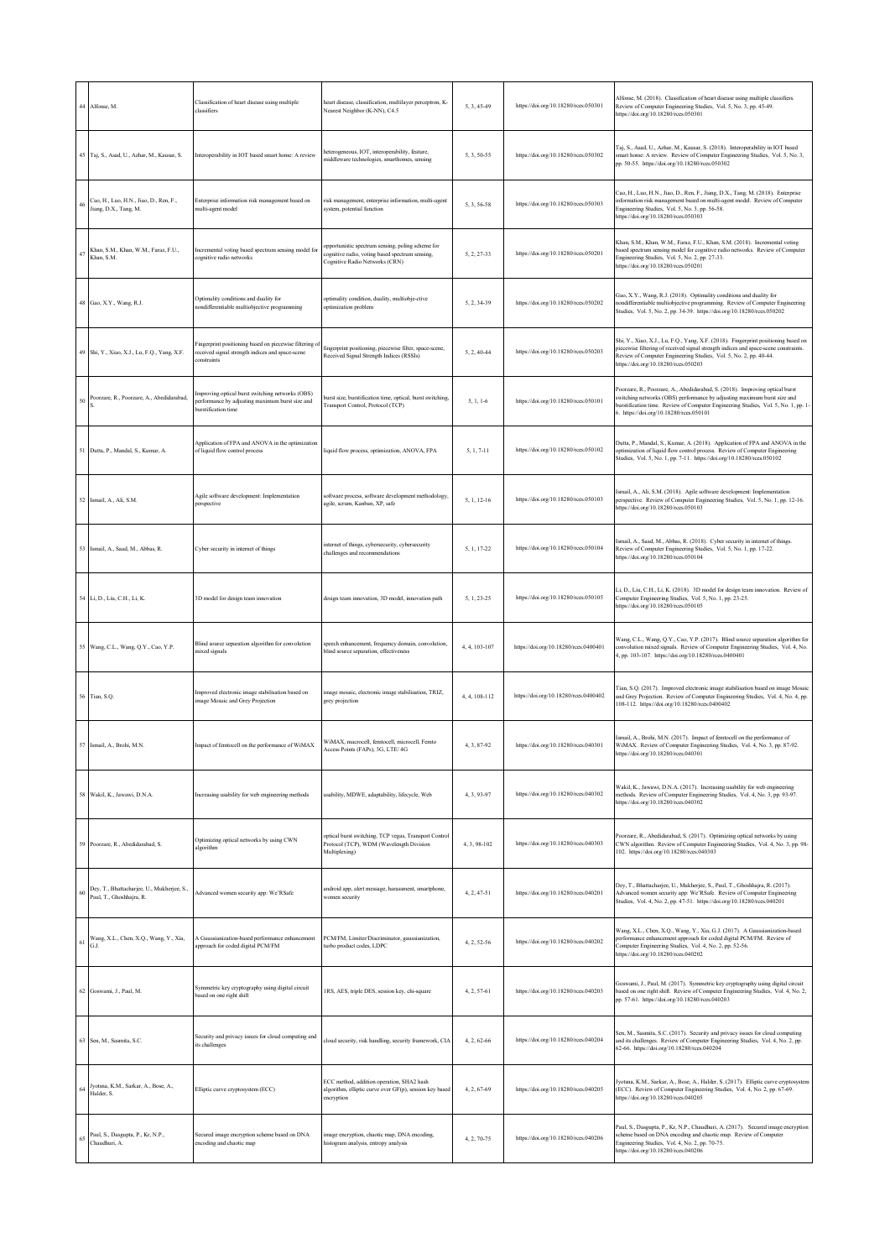| 44 | Alfonse, M.                                                            | Classification of heart disease using multiple<br>classifiers                                                              | heart disease, classification, multilayer perceptron, K-<br>Nearest Neighbor (K-NN), C4.5                                              | 5.3.45-49     | https://doi.org/10.18280/rces.050301  | Alfonse, M. (2018). Classification of heart disease using multiple classifiers.<br>Review of Computer Engineering Studies, Vol. 5, No. 3, pp. 45-49.<br>https://doi.org/10.18280/rces.050301                                                                                              |
|----|------------------------------------------------------------------------|----------------------------------------------------------------------------------------------------------------------------|----------------------------------------------------------------------------------------------------------------------------------------|---------------|---------------------------------------|-------------------------------------------------------------------------------------------------------------------------------------------------------------------------------------------------------------------------------------------------------------------------------------------|
|    | 45 Taj, S., Asad, U., Azhar, M., Kausar, S.                            | Interoperability in IOT based smart home: A review                                                                         | acterogeneous, IOT, interoperability, feature,<br>middleware technologies, smarthomes, sensing                                         | 5, 3, 50-55   | https://doi.org/10.18280/rces.050302  | Taj, S., Asad, U., Azhar, M., Kausar, S. (2018). Interoperability in IOT based<br>smart home: A review. Review of Computer Engineering Studies, Vol. 5, No. 3,<br>pp. 50-55. https://doi.org/10.18280/rces.050302                                                                         |
| 46 | Cao, H., Luo, H.N., Jiao, D., Ren, F.,<br>Jiang, D.X., Tang, M.        | Enterprise information risk management based on<br>multi-agent model                                                       | risk management, enterprise information, multi-agent<br>system, potential function                                                     | 5, 3, 56-58   | https://doi.org/10.18280/rces.050303  | Cao, H., Luo, H.N., Jiao, D., Ren, F., Jiang, D.X., Tang, M. (2018). Enterprise<br>information risk management based on multi-agent model. Review of Computer<br>Engineering Studies, Vol. 5, No. 3, pp. 56-58.<br>https://doi.org/10.18280/rces.050303                                   |
| 47 | Khan, S.M., Khan, W.M., Faraz, F.U.,<br>Khan, S.M.                     | Incremental voting based spectrum sensing model for<br>cognitive radio networks                                            | opportunistic spectrum sensing, poling scheme for<br>cognitive radio, voting based spectrum sensing,<br>Cognitive Radio Networks (CRN) | 5, 2, 27-33   | https://doi.org/10.18280/rces.050201  | Khan, S.M., Khan, W.M., Faraz, F.U., Khan, S.M. (2018). Incremental voting<br>based spectrum sensing model for cognitive radio networks. Review of Computer<br>Engineering Studies, Vol. 5, No. 2, pp. 27-33.<br>https://doi.org/10.18280/rces.050201                                     |
|    | 48 Gao, X.Y., Wang, R.J.                                               | Optimality conditions and duality for<br>ondifferentiable multiobjective programming                                       | optimality condition, duality, multiobje-ctive<br>optimization problem                                                                 | 5, 2, 34-39   | https://doi.org/10.18280/rces.050202  | Gao, X.Y., Wang, R.J. (2018). Optimality conditions and duality for<br>nondifferentiable multiobjective programming. Review of Computer Engineering<br>Studies, Vol. 5, No. 2, pp. 34-39. https://doi.org/10.18280/rces.050202                                                            |
| 49 | Shi, Y., Xiao, X.J., Lu, F.Q., Yang, X.F.                              | Fingerprint positioning based on piecewise filtering of<br>received signal strength indices and space-scene<br>constraints | fingerprint positioning, piecewise filter, space-scene,<br>Received Signal Strength Indices (RSSIs)                                    | 5, 2, 40-44   | https://doi.org/10.18280/rces.050203  | Shi, Y., Xiao, X.J., Lu, F.Q., Yang, X.F. (2018). Fingerprint positioning based on<br>piecewise filtering of received signal strength indices and space-scene constraints.<br>Review of Computer Engineering Studies, Vol. 5, No. 2, pp. 40-44.<br>https://doi.org/10.18280/rces.050203   |
| 50 | Poorzare, R., Poorzare, A., Abedidarabad,                              | Improving optical burst switching networks (OBS)<br>performance by adjusting maximum burst size and<br>burstification time | burst size, burstification time, optical, burst switching,<br>Transport Control, Protocol (TCP)                                        | $5, 1, 1-6$   | https://doi.org/10.18280/rces.050101  | Poorzare, R., Poorzare, A., Abedidarabad, S. (2018). Improving optical burst<br>switching networks (OBS) performance by adjusting maximum burst size and<br>burstification time. Review of Computer Engineering Studies, Vol. 5, No. 1, pp. 1-<br>6. https://doi.org/10.18280/rces.050101 |
| 51 | Dutta, P., Mandal, S., Kumar, A.                                       | Application of FPA and ANOVA in the optimization<br>of liquid flow control process                                         | liquid flow process, optimization, ANOVA, FPA                                                                                          | $5, 1, 7-11$  | https://doi.org/10.18280/rces.050102  | Dutta, P., Mandal, S., Kumar, A. (2018). Application of FPA and ANOVA in the<br>optimization of liquid flow control process. Review of Computer Engineering<br>Studies, Vol. 5, No. 1, pp. 7-11. https://doi.org/10.18280/rces.050102                                                     |
| 52 | Ismail, A., Ali, S.M.                                                  | Agile software development: Implementation<br>perspective                                                                  | software process, software development methodology,<br>agile, scrum, Kanban, XP, safe                                                  | 5, 1, 12-16   | https://doi.org/10.18280/rces.050103  | Ismail, A., Ali, S.M. (2018). Agile software development: Implementation<br>perspective. Review of Computer Engineering Studies, Vol. 5, No. 1, pp. 12-16.<br>https://doi.org/10.18280/rees.050103                                                                                        |
| 53 | Ismail, A., Saad, M., Abbas, R.                                        | Cyber security in internet of things                                                                                       | internet of things, cybersecurity, cybersecurity<br>challenges and recommendations                                                     | 5.1.17-22     | https://doi.org/10.18280/rces.050104  | Ismail, A., Saad, M., Abbas, R. (2018). Cyber security in internet of things.<br>Review of Computer Engineering Studies, Vol. 5, No. 1, pp. 17-22.<br>https://doi.org/10.18280/rces.050104                                                                                                |
| 54 | Li, D., Liu, C.H., Li, K.                                              | 3D model for design team innovation                                                                                        | design team innovation, 3D model, innovation path                                                                                      | 5.1.23-25     | https://doi.org/10.18280/rces.050105  | Li, D., Liu, C.H., Li, K. (2018). 3D model for design team innovation. Review of<br>Computer Engineering Studies, Vol. 5, No. 1, pp. 23-25.<br>https://doi.org/10.18280/rces.050105                                                                                                       |
| 55 | Wang, C.L., Wang, Q.Y., Cao, Y.P.                                      | Blind source separation algorithm for convolution<br>mixed signals                                                         | speech enhancement, frequency domain, convolution,<br>blind source separation, effectiveness                                           | 4, 4, 103-107 | https://doi.org/10.18280/rces.0400401 | Wang, C.L., Wang, Q.Y., Cao, Y.P. (2017). Blind source separation algorithm for<br>convolution mixed signals. Review of Computer Engineering Studies, Vol. 4, No.<br>4, pp. 103-107. https://doi.org/10.18280/rces.0400401                                                                |
| 56 | Tian, S.Q.                                                             | Improved electronic image stabilisation based on<br>image Mosaic and Grey Projection                                       | image mosaic, electronic image stabilisation, TRIZ,<br>grey projection                                                                 | 4, 4, 108-112 | https://doi.org/10.18280/rces.0400402 | Tian, S.Q. (2017). Improved electronic image stabilisation based on image Mosaic<br>and Grey Projection. Review of Computer Engineering Studies, Vol. 4, No. 4, pp.<br>108-112. https://doi.org/10.18280/rces.0400402                                                                     |
| 57 | Ismail, A., Brohi, M.N.                                                | Impact of femtocell on the performance of WiMAX                                                                            | WiMAX, macrocell, femtocell, microcell, Femto<br>Access Points (FAPs), 3G, LTE/4G                                                      | 4, 3, 87-92   | https://doi.org/10.18280/rces.040301  | Ismail, A., Brohi, M.N. (2017). Impact of femtocell on the performance of<br>WiMAX. Review of Computer Engineering Studies, Vol. 4, No. 3, pp. 87-92.<br>ttps://doi.org/10.18280/rces.040301                                                                                              |
| 58 | Wakil, K., Jawawi, D.N.A.                                              | Increasing usability for web engineering methods                                                                           | usability, MDWE, adaptability, lifecycle, Web                                                                                          | 4.3.93-97     | https://doi.org/10.18280/rces.040302  | Wakil, K., Jawawi, D.N.A. (2017). Increasing usability for web engineering<br>methods. Review of Computer Engineering Studies, Vol. 4, No. 3, pp. 93-97.<br>https://doi.org/10.18280/rces.040302                                                                                          |
| 59 | Poorzare, R., Abedidarabad, S.                                         | Optimizing optical networks by using CWN<br>algorithm                                                                      | optical burst switching, TCP vegas, Transport Control<br>Protocol (TCP), WDM (Wavelength Division<br>Multiplexing)                     | 4, 3, 98-102  | https://doi.org/10.18280/rces.040303  | Poorzare, R., Abedidarabad, S. (2017). Optimizing optical networks by using<br>CWN algorithm. Review of Computer Engineering Studies, Vol. 4, No. 3, pp. 98-<br>102. https://doi.org/10.18280/rces.040303                                                                                 |
| 60 | Dey, T., Bhattacharjee, U., Mukherjee, S.,<br>Paul, T., Ghoshhajra, R. | Advanced women security app: We'RSafe                                                                                      | android app, alert message, harassment, smartphone,<br>vomen security                                                                  | 4, 2, 47-51   | https://doi.org/10.18280/rces.040201  | Dey, T., Bhattacharjee, U., Mukherjee, S., Paul, T., Ghoshhajra, R. (2017).<br>Advanced women security app: We'RSafe. Review of Computer Engineering<br>Studies, Vol. 4, No. 2, pp. 47-51. https://doi.org/10.18280/rces.040201                                                           |
| 61 | Wang, X.L., Chen, X.Q., Wang, Y., Xia,<br>G.J.                         | A Gaussianization-based performance enhancement<br>approach for coded digital PCM/FM                                       | PCM/FM, Limiter/Discriminator, gaussianization,<br>turbo product codes, LDPC                                                           | 4, 2, 52-56   | https://doi.org/10.18280/rces.040202  | Wang, X.L., Chen, X.Q., Wang, Y., Xia, G.J. (2017). A Gaussianization-based<br>performance enhancement approach for coded digital PCM/FM. Review of<br>Computer Engineering Studies, Vol. 4, No. 2, pp. 52-56.<br>https://doi.org/10.18280/rces.040202                                    |
| 62 | Goswami, J., Paul, M.                                                  | Symmetric key cryptography using digital circuit<br>based on one right shift                                               | 1RS, AES, triple DES, session key, chi-square                                                                                          | 4, 2, 57-61   | https://doi.org/10.18280/rces.040203  | Goswami, J., Paul, M. (2017). Symmetric key cryptography using digital circuit<br>based on one right shift. Review of Computer Engineering Studies, Vol. 4, No. 2,<br>pp. 57-61. https://doi.org/10.18280/rces.040203                                                                     |
| 63 | Sen, M., Sasmita, S.C.                                                 | Security and privacy issues for cloud computing and<br>its challenges                                                      | cloud security, risk handling, security framework, CIA                                                                                 | 4, 2, 62-66   | https://doi.org/10.18280/rces.040204  | Sen, M., Sasmita, S.C. (2017). Security and privacy issues for cloud computing<br>and its challenges. Review of Computer Engineering Studies, Vol. 4, No. 2, pp.<br>62-66. https://doi.org/10.18280/rces.040204                                                                           |
| 64 | Jyotsna, K.M., Sarkar, A., Bose, A.,<br>Halder, S.                     | Elliptic curve cryptosystem (ECC)                                                                                          | ECC method, addition operation, SHA2 hash<br>algorithm, elliptic curve over GF(p), session key based<br>encryption                     | 4, 2, 67-69   | https://doi.org/10.18280/rces.040205  | lyotsna, K.M., Sarkar, A., Bose, A., Halder, S. (2017). Elliptic curve cryptosystem<br>(ECC). Review of Computer Engineering Studies, Vol. 4, No. 2, pp. 67-69.<br>https://doi.org/10.18280/rces.040205                                                                                   |
| 65 | Paul, S., Dasgupta, P., Kr, N.P.,<br>Chaudhuri, A.                     | Secured image encryption scheme based on DNA<br>encoding and chaotic map                                                   | mage encryption, chaotic map, DNA encoding,<br>histogram analysis, entropy analysis                                                    | 4, 2, 70-75   | https://doi.org/10.18280/rces.040206  | Paul, S., Dasgupta, P., Kr, N.P., Chaudhuri, A. (2017). Secured image encryption<br>scheme based on DNA encoding and chaotic map. Review of Computer<br>Engineering Studies, Vol. 4, No. 2, pp. 70-75.<br>https://doi.org/10.18280/rces.040206                                            |